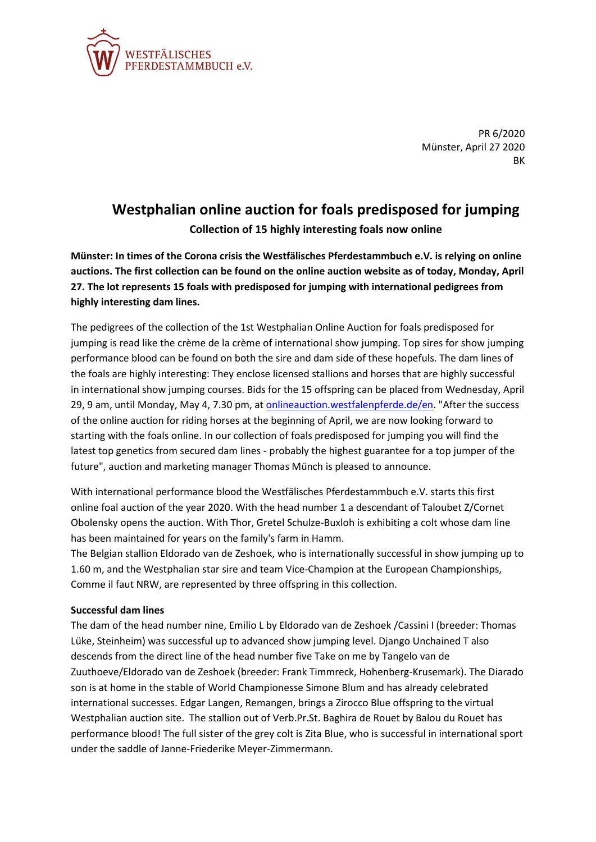

PR 6/2020 Münster, April 27 2020 BK

## **Westphalian online auction for foals predisposed for jumping Collection of 15 highly interesting foals now online**

**Münster: In times of the Corona crisis the Westfälisches Pferdestammbuch e.V. is relying on online auctions. The first collection can be found on the online auction website as of today, Monday, April 27. The lot represents 15 foals with predisposed for jumping with international pedigrees from highly interesting dam lines.**

The pedigrees of the collection of the 1st Westphalian Online Auction for foals predisposed for jumping is read like the crème de la crème of international show jumping. Top sires for show jumping performance blood can be found on both the sire and dam side of these hopefuls. The dam lines of the foals are highly interesting: They enclose licensed stallions and horses that are highly successful in international show jumping courses. Bids for the 15 offspring can be placed from Wednesday, April 29, 9 am, until Monday, May 4, 7.30 pm, at [onlineauction.westfalenpferde.de/en.](https://onlineauction.westfalenpferde.de/en) "After the success of the online auction for riding horses at the beginning of April, we are now looking forward to starting with the foals online. In our collection of foals predisposed for jumping you will find the latest top genetics from secured dam lines - probably the highest guarantee for a top jumper of the future", auction and marketing manager Thomas Münch is pleased to announce.

With international performance blood the Westfälisches Pferdestammbuch e.V. starts this first online foal auction of the year 2020. With the head number 1 a descendant of Taloubet Z/Cornet Obolensky opens the auction. With Thor, Gretel Schulze-Buxloh is exhibiting a colt whose dam line has been maintained for years on the family's farm in Hamm.

The Belgian stallion Eldorado van de Zeshoek, who is internationally successful in show jumping up to 1.60 m, and the Westphalian star sire and team Vice-Champion at the European Championships, Comme il faut NRW, are represented by three offspring in this collection.

## **Successful dam lines**

The dam of the head number nine, Emilio L by Eldorado van de Zeshoek /Cassini I (breeder: Thomas Lüke, Steinheim) was successful up to advanced show jumping level. Django Unchained T also descends from the direct line of the head number five Take on me by Tangelo van de Zuuthoeve/Eldorado van de Zeshoek (breeder: Frank Timmreck, Hohenberg-Krusemark). The Diarado son is at home in the stable of World Championesse Simone Blum and has already celebrated international successes. Edgar Langen, Remangen, brings a Zirocco Blue offspring to the virtual Westphalian auction site. The stallion out of Verb.Pr.St. Baghira de Rouet by Balou du Rouet has performance blood! The full sister of the grey colt is Zita Blue, who is successful in international sport under the saddle of Janne-Friederike Meyer-Zimmermann.